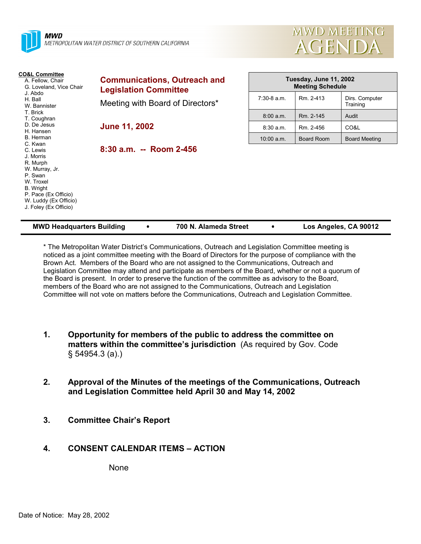



| <b>CO&amp;L Committee</b><br>A. Fellow, Chair<br>G. Loveland, Vice Chair<br>J. Abdo<br>H. Ball<br>W. Bannister                                                     | <b>Communications, Outreach and</b><br><b>Legislation Committee</b> | Tuesday, June 11, 2002<br><b>Meeting Schedule</b> |            |                            |
|--------------------------------------------------------------------------------------------------------------------------------------------------------------------|---------------------------------------------------------------------|---------------------------------------------------|------------|----------------------------|
|                                                                                                                                                                    | Meeting with Board of Directors*                                    | $7:30-8$ a.m.                                     | Rm. 2-413  | Dirs. Computer<br>Training |
| T. Brick<br>T. Coughran                                                                                                                                            |                                                                     | 8:00 a.m.                                         | Rm. 2-145  | Audit                      |
| D. De Jesus<br>H. Hansen                                                                                                                                           | <b>June 11, 2002</b>                                                | $8:30$ a.m.                                       | Rm. 2-456  | CO&L                       |
| B. Herman<br>C. Kwan                                                                                                                                               |                                                                     | 10:00 a.m.                                        | Board Room | <b>Board Meeting</b>       |
| C. Lewis<br>J. Morris<br>R. Murph<br>W. Murray, Jr.<br>P. Swan<br>W. Troxel<br>B. Wright<br>P. Pace (Ex Officio)<br>W. Luddy (Ex Officio)<br>J. Foley (Ex Officio) | $8:30$ a.m. -- Room 2-456                                           |                                                   |            |                            |

| <b>MWD Headquarters Building</b><br>700 N. Alameda Street |  | Los Angeles, CA 90012 |
|-----------------------------------------------------------|--|-----------------------|
|-----------------------------------------------------------|--|-----------------------|

\* The Metropolitan Water District's Communications, Outreach and Legislation Committee meeting is noticed as a joint committee meeting with the Board of Directors for the purpose of compliance with the Brown Act. Members of the Board who are not assigned to the Communications, Outreach and Legislation Committee may attend and participate as members of the Board, whether or not a quorum of the Board is present. In order to preserve the function of the committee as advisory to the Board, members of the Board who are not assigned to the Communications, Outreach and Legislation Committee will not vote on matters before the Communications, Outreach and Legislation Committee.

- **1. Opportunity for members of the public to address the committee on matters within the committee's jurisdiction** (As required by Gov. Code § 54954.3 (a).)
- **2. Approval of the Minutes of the meetings of the Communications, Outreach and Legislation Committee held April 30 and May 14, 2002**
- **3. Committee Chair's Report**

### **4. CONSENT CALENDAR ITEMS – ACTION**

None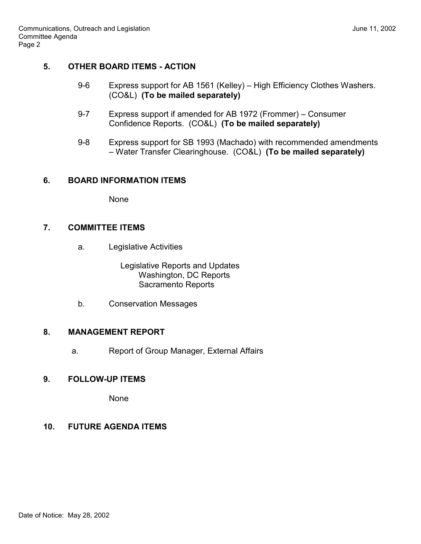# **5. OTHER BOARD ITEMS - ACTION**

- 9-6 Express support for AB 1561 (Kelley) High Efficiency Clothes Washers. (CO&L) **(To be mailed separately)**
- 9-7 Express support if amended for AB 1972 (Frommer) Consumer Confidence Reports. (CO&L) **(To be mailed separately)**
- 9-8 Express support for SB 1993 (Machado) with recommended amendments – Water Transfer Clearinghouse. (CO&L) **(To be mailed separately)**

### **6. BOARD INFORMATION ITEMS**

None

### **7. COMMITTEE ITEMS**

a. Legislative Activities

 Legislative Reports and Updates Washington, DC Reports Sacramento Reports

b. Conservation Messages

### **8. MANAGEMENT REPORT**

a. Report of Group Manager, External Affairs

# **9. FOLLOW-UP ITEMS**

None

# **10. FUTURE AGENDA ITEMS**